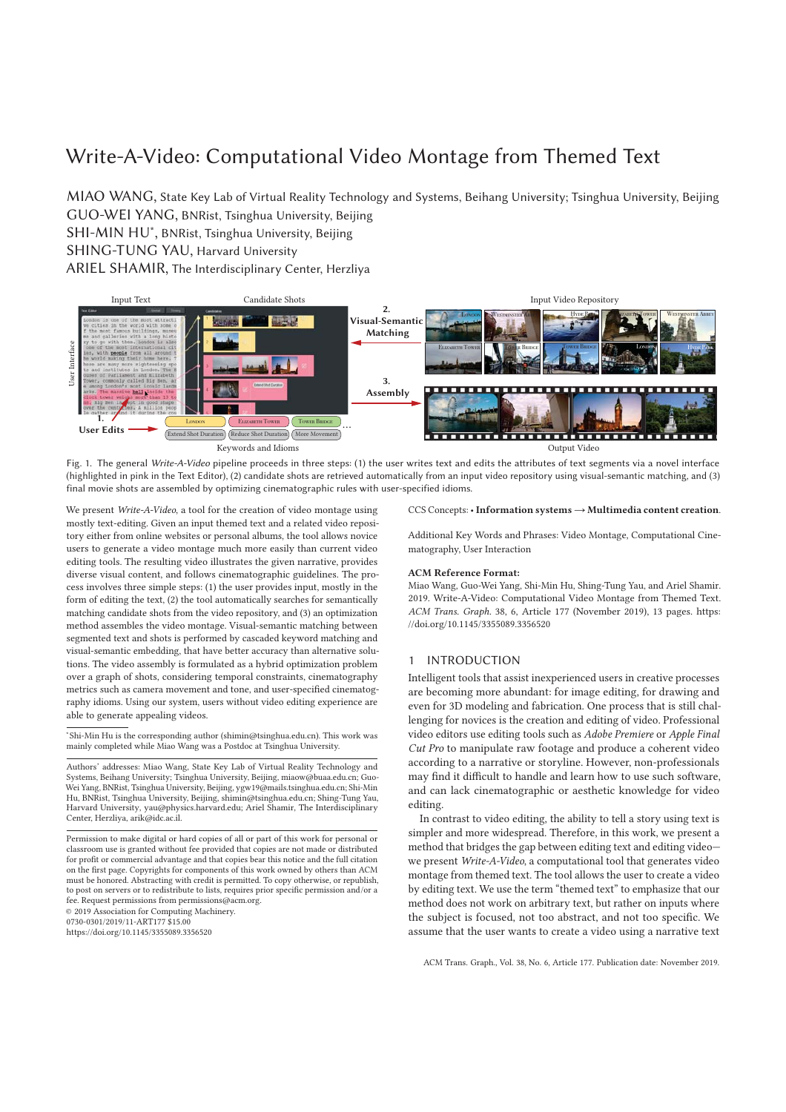# Write-A-Video: Computational Video Montage from Themed Text

MIAO WANG, State Key Lab of Virtual Reality Technology and Systems, Beihang University; Tsinghua University, Beijing GUO-WEI YANG, BNRist, Tsinghua University, Beijing

SHI-MIN HU<sup>\*</sup>, BNRist, Tsinghua University, Beijing

SHING-TUNG YAU, Harvard University

ARIEL SHAMIR, The Interdisciplinary Center, Herzliya



Fig. 1. The general Write-A-Video pipeline proceeds in three steps: (1) the user writes text and edits the attributes of text segments via a novel interface (highlighted in pink in the Text Editor), (2) candidate shots are retrieved automatically from an input video repository using visual-semantic matching, and (3) final movie shots are assembled by optimizing cinematographic rules with user-specified idioms.

We present Write-A-Video, a tool for the creation of video montage using mostly text-editing. Given an input themed text and a related video repository either from online websites or personal albums, the tool allows novice users to generate a video montage much more easily than current video editing tools. The resulting video illustrates the given narrative, provides diverse visual content, and follows cinematographic guidelines. The process involves three simple steps: (1) the user provides input, mostly in the form of editing the text, (2) the tool automatically searches for semantically matching candidate shots from the video repository, and (3) an optimization method assembles the video montage. Visual-semantic matching between segmented text and shots is performed by cascaded keyword matching and visual-semantic embedding, that have better accuracy than alternative solutions. The video assembly is formulated as a hybrid optimization problem over a graph of shots, considering temporal constraints, cinematography metrics such as camera movement and tone, and user-specified cinematography idioms. Using our system, users without video editing experience are able to generate appealing videos.

∗ Shi-Min Hu is the corresponding author (shimin@tsinghua.edu.cn). This work was mainly completed while Miao Wang was a Postdoc at Tsinghua University.

Authors' addresses: Miao Wang, State Key Lab of Virtual Reality Technology and Systems, Beihang University; Tsinghua University, Beijing, miaow@buaa.edu.cn; Guo-Wei Yang, BNRist, Tsinghua University, Beijing, ygw19@mails.tsinghua.edu.cn; Shi-Min Hu, BNRist, Tsinghua University, Beijing, shimin@tsinghua.edu.cn; Shing-Tung Yau, Harvard University, yau@physics.harvard.edu; Ariel Shamir, The Interdisciplinary Center, Herzliya, arik@idc.ac.il.

Permission to make digital or hard copies of all or part of this work for personal or classroom use is granted without fee provided that copies are not made or distributed for profit or commercial advantage and that copies bear this notice and the full citation on the first page. Copyrights for components of this work owned by others than ACM must be honored. Abstracting with credit is permitted. To copy otherwise, or republish, to post on servers or to redistribute to lists, requires prior specific permission and/or a fee. Request permissions from permissions@acm.org.

© 2019 Association for Computing Machinery. 0730-0301/2019/11-ART177 \$15.00 https://doi.org/10.1145/3355089.3356520

# CCS Concepts: • **Information systems** →**Multimedia content creation**.

Additional Key Words and Phrases: Video Montage, Computational Cinematography, User Interaction

#### **ACM Reference Format:**

Miao Wang, Guo-Wei Yang, Shi-Min Hu, Shing-Tung Yau, and Ariel Shamir. 2019. Write-A-Video: Computational Video Montage from Themed Text. ACM Trans. Graph. 38, 6, Article 177 (November 2019), 13 pages. https: //doi.org/10.1145/3355089.3356520

## 1 INTRODUCTION

Intelligent tools that assist inexperienced users in creative processes are becoming more abundant: for image editing, for drawing and even for 3D modeling and fabrication. One process that is still challenging for novices is the creation and editing of video. Professional video editors use editing tools such as Adobe Premiere or Apple Final Cut Pro to manipulate raw footage and produce a coherent video according to a narrative or storyline. However, non-professionals may find it difficult to handle and learn how to use such software, and can lack cinematographic or aesthetic knowledge for video editing.

In contrast to video editing, the ability to tell a story using text is simpler and more widespread. Therefore, in this work, we present a method that bridges the gap between editing text and editing video we present Write-A-Video, a computational tool that generates video montage from themed text. The tool allows the user to create a video by editing text. We use the term "themed text" to emphasize that our method does not work on arbitrary text, but rather on inputs where the subject is focused, not too abstract, and not too specific. We assume that the user wants to create a video using a narrative text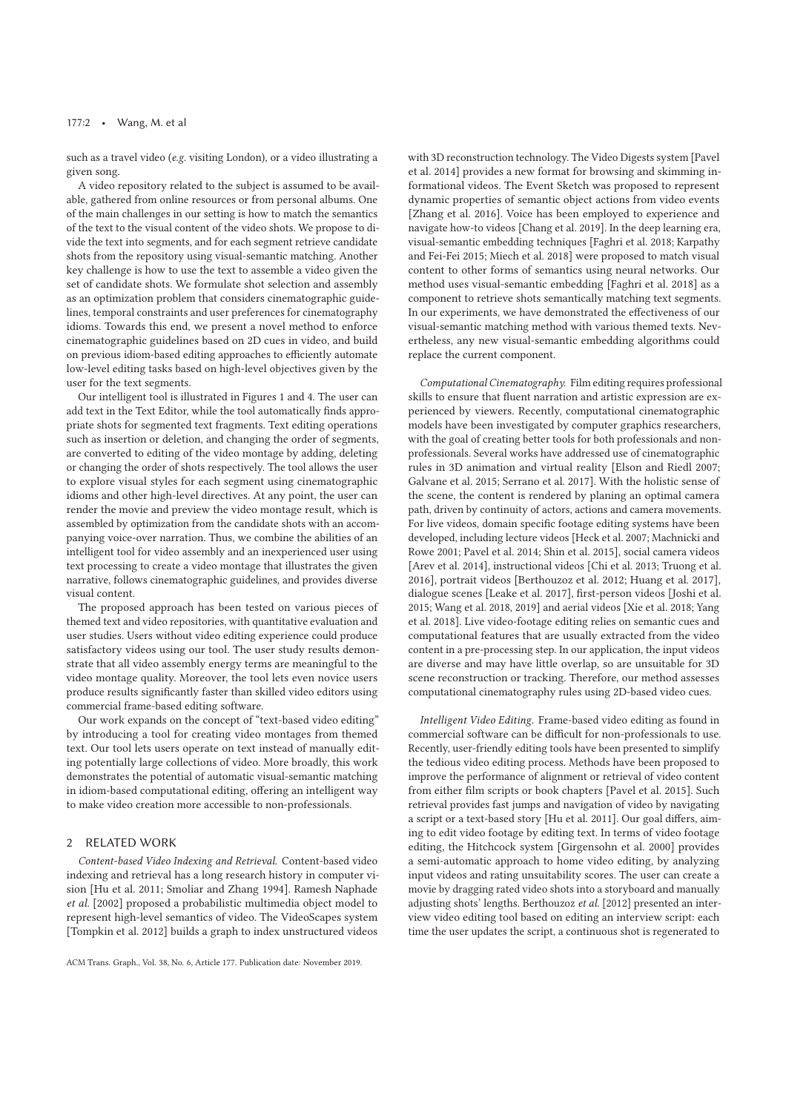such as a travel video (e.g. visiting London), or a video illustrating a given song.

A video repository related to the subject is assumed to be available, gathered from online resources or from personal albums. One of the main challenges in our setting is how to match the semantics of the text to the visual content of the video shots. We propose to divide the text into segments, and for each segment retrieve candidate shots from the repository using visual-semantic matching. Another key challenge is how to use the text to assemble a video given the set of candidate shots. We formulate shot selection and assembly as an optimization problem that considers cinematographic guidelines, temporal constraints and user preferences for cinematography idioms. Towards this end, we present a novel method to enforce cinematographic guidelines based on 2D cues in video, and build on previous idiom-based editing approaches to efficiently automate low-level editing tasks based on high-level objectives given by the user for the text segments.

Our intelligent tool is illustrated in Figures 1 and 4. The user can add text in the Text Editor, while the tool automatically finds appropriate shots for segmented text fragments. Text editing operations such as insertion or deletion, and changing the order of segments, are converted to editing of the video montage by adding, deleting or changing the order of shots respectively. The tool allows the user to explore visual styles for each segment using cinematographic idioms and other high-level directives. At any point, the user can render the movie and preview the video montage result, which is assembled by optimization from the candidate shots with an accompanying voice-over narration. Thus, we combine the abilities of an intelligent tool for video assembly and an inexperienced user using text processing to create a video montage that illustrates the given narrative, follows cinematographic guidelines, and provides diverse visual content.

The proposed approach has been tested on various pieces of themed text and video repositories, with quantitative evaluation and user studies. Users without video editing experience could produce satisfactory videos using our tool. The user study results demonstrate that all video assembly energy terms are meaningful to the video montage quality. Moreover, the tool lets even novice users produce results significantly faster than skilled video editors using commercial frame-based editing software.

Our work expands on the concept of "text-based video editing" by introducing a tool for creating video montages from themed text. Our tool lets users operate on text instead of manually editing potentially large collections of video. More broadly, this work demonstrates the potential of automatic visual-semantic matching in idiom-based computational editing, offering an intelligent way to make video creation more accessible to non-professionals.

# 2 RELATED WORK

Content-based Video Indexing and Retrieval. Content-based video indexing and retrieval has a long research history in computer vision [Hu et al. 2011; Smoliar and Zhang 1994]. Ramesh Naphade et al. [2002] proposed a probabilistic multimedia object model to represent high-level semantics of video. The VideoScapes system [Tompkin et al. 2012] builds a graph to index unstructured videos

with 3D reconstruction technology. The Video Digests system [Pavel et al. 2014] provides a new format for browsing and skimming informational videos. The Event Sketch was proposed to represent dynamic properties of semantic object actions from video events [Zhang et al. 2016]. Voice has been employed to experience and navigate how-to videos [Chang et al. 2019]. In the deep learning era, visual-semantic embedding techniques [Faghri et al. 2018; Karpathy and Fei-Fei 2015; Miech et al. 2018] were proposed to match visual content to other forms of semantics using neural networks. Our method uses visual-semantic embedding [Faghri et al. 2018] as a component to retrieve shots semantically matching text segments. In our experiments, we have demonstrated the effectiveness of our visual-semantic matching method with various themed texts. Nevertheless, any new visual-semantic embedding algorithms could replace the current component.

Computational Cinematography. Film editing requires professional skills to ensure that fluent narration and artistic expression are experienced by viewers. Recently, computational cinematographic models have been investigated by computer graphics researchers, with the goal of creating better tools for both professionals and nonprofessionals. Several works have addressed use of cinematographic rules in 3D animation and virtual reality [Elson and Riedl 2007; Galvane et al. 2015; Serrano et al. 2017]. With the holistic sense of the scene, the content is rendered by planing an optimal camera path, driven by continuity of actors, actions and camera movements. For live videos, domain specific footage editing systems have been developed, including lecture videos [Heck et al. 2007; Machnicki and Rowe 2001; Pavel et al. 2014; Shin et al. 2015], social camera videos [Arev et al. 2014], instructional videos [Chi et al. 2013; Truong et al. 2016], portrait videos [Berthouzoz et al. 2012; Huang et al. 2017], dialogue scenes [Leake et al. 2017], first-person videos [Joshi et al. 2015; Wang et al. 2018, 2019] and aerial videos [Xie et al. 2018; Yang et al. 2018]. Live video-footage editing relies on semantic cues and computational features that are usually extracted from the video content in a pre-processing step. In our application, the input videos are diverse and may have little overlap, so are unsuitable for 3D scene reconstruction or tracking. Therefore, our method assesses computational cinematography rules using 2D-based video cues.

Intelligent Video Editing. Frame-based video editing as found in commercial software can be difficult for non-professionals to use. Recently, user-friendly editing tools have been presented to simplify the tedious video editing process. Methods have been proposed to improve the performance of alignment or retrieval of video content from either film scripts or book chapters [Pavel et al. 2015]. Such retrieval provides fast jumps and navigation of video by navigating a script or a text-based story [Hu et al. 2011]. Our goal differs, aiming to edit video footage by editing text. In terms of video footage editing, the Hitchcock system [Girgensohn et al. 2000] provides a semi-automatic approach to home video editing, by analyzing input videos and rating unsuitability scores. The user can create a movie by dragging rated video shots into a storyboard and manually adjusting shots' lengths. Berthouzoz et al. [2012] presented an interview video editing tool based on editing an interview script: each time the user updates the script, a continuous shot is regenerated to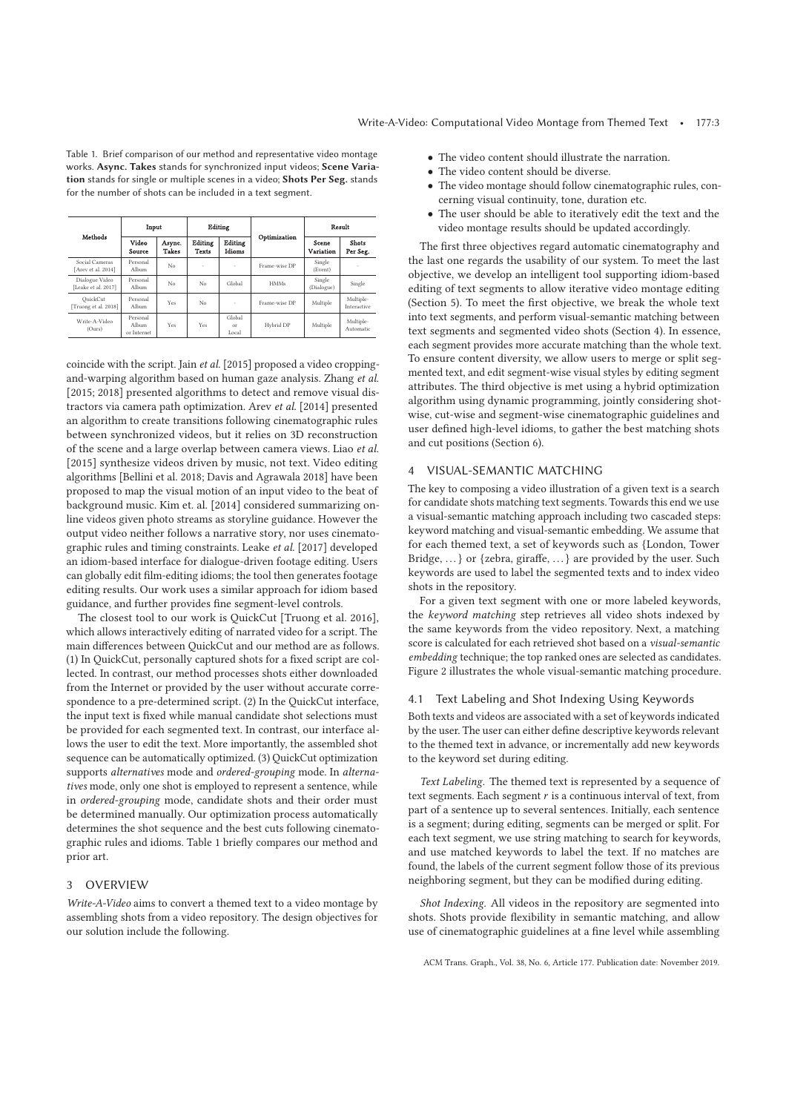Write-A-Video: Computational Video Montage from Themed Text • 177:3

Table 1. Brief comparison of our method and representative video montage works. **Async. Takes** stands for synchronized input videos; **Scene Variation** stands for single or multiple scenes in a video; **Shots Per Seg.** stands for the number of shots can be included in a text segment.

| Methods                               | Input                            |                 | Editing                 |                               |               | Result               |                          |
|---------------------------------------|----------------------------------|-----------------|-------------------------|-------------------------------|---------------|----------------------|--------------------------|
|                                       | Video<br>Source                  | Async.<br>Takes | Editing<br><b>Texts</b> | Editing<br>Idioms             | Optimization  | Scene<br>Variation   | Shots<br>Per Seg.        |
| Social Cameras<br>[Arev et al. 2014]  | Personal<br>Album.               | No              | ÷                       | $\sim$                        | Frame-wise DP | Single<br>(Event)    | $\sim$                   |
| Dialogue Video<br>[Leake et al. 2017] | Personal<br>Album                | No              | No                      | Global                        | <b>HMMs</b>   | Single<br>(Dialogue) | Single                   |
| OuickCut<br>Truong et al. 2018]       | Personal<br>Album                | Yes             | No                      | ×                             | Frame-wise DP | Multiple             | Multiple-<br>Interactive |
| Write-A-Video<br>(Ours)               | Personal<br>Album<br>or Internet | Yes             | Yes                     | Global<br>$^{\circ}$<br>Local | Hybrid DP     | Multiple             | Multiple-<br>Automatic   |

coincide with the script. Jain et al. [2015] proposed a video croppingand-warping algorithm based on human gaze analysis. Zhang et al. [2015; 2018] presented algorithms to detect and remove visual distractors via camera path optimization. Arev et al. [2014] presented an algorithm to create transitions following cinematographic rules between synchronized videos, but it relies on 3D reconstruction of the scene and a large overlap between camera views. Liao et al. [2015] synthesize videos driven by music, not text. Video editing algorithms [Bellini et al. 2018; Davis and Agrawala 2018] have been proposed to map the visual motion of an input video to the beat of background music. Kim et. al. [2014] considered summarizing online videos given photo streams as storyline guidance. However the output video neither follows a narrative story, nor uses cinematographic rules and timing constraints. Leake et al. [2017] developed an idiom-based interface for dialogue-driven footage editing. Users can globally edit film-editing idioms; the tool then generates footage editing results. Our work uses a similar approach for idiom based guidance, and further provides fine segment-level controls.

The closest tool to our work is QuickCut [Truong et al. 2016], which allows interactively editing of narrated video for a script. The main differences between QuickCut and our method are as follows. (1) In QuickCut, personally captured shots for a fixed script are collected. In contrast, our method processes shots either downloaded from the Internet or provided by the user without accurate correspondence to a pre-determined script. (2) In the QuickCut interface, the input text is fixed while manual candidate shot selections must be provided for each segmented text. In contrast, our interface allows the user to edit the text. More importantly, the assembled shot sequence can be automatically optimized. (3) QuickCut optimization supports alternatives mode and ordered-grouping mode. In alternatives mode, only one shot is employed to represent a sentence, while in ordered-grouping mode, candidate shots and their order must be determined manually. Our optimization process automatically determines the shot sequence and the best cuts following cinematographic rules and idioms. Table 1 briefly compares our method and prior art.

## 3 OVERVIEW

Write-A-Video aims to convert a themed text to a video montage by assembling shots from a video repository. The design objectives for our solution include the following.

- The video content should illustrate the narration.
- The video content should be diverse.
- The video montage should follow cinematographic rules, concerning visual continuity, tone, duration etc.
- The user should be able to iteratively edit the text and the video montage results should be updated accordingly.

The first three objectives regard automatic cinematography and the last one regards the usability of our system. To meet the last objective, we develop an intelligent tool supporting idiom-based editing of text segments to allow iterative video montage editing (Section 5). To meet the first objective, we break the whole text into text segments, and perform visual-semantic matching between text segments and segmented video shots (Section 4). In essence, each segment provides more accurate matching than the whole text. To ensure content diversity, we allow users to merge or split segmented text, and edit segment-wise visual styles by editing segment attributes. The third objective is met using a hybrid optimization algorithm using dynamic programming, jointly considering shotwise, cut-wise and segment-wise cinematographic guidelines and user defined high-level idioms, to gather the best matching shots and cut positions (Section 6).

# 4 VISUAL-SEMANTIC MATCHING

The key to composing a video illustration of a given text is a search for candidate shots matching text segments. Towards this end we use a visual-semantic matching approach including two cascaded steps: keyword matching and visual-semantic embedding. We assume that for each themed text, a set of keywords such as {London, Tower Bridge, ... } or {zebra, giraffe, ... } are provided by the user. Such keywords are used to label the segmented texts and to index video shots in the repository.

For a given text segment with one or more labeled keywords, the keyword matching step retrieves all video shots indexed by the same keywords from the video repository. Next, a matching score is calculated for each retrieved shot based on a visual-semantic embedding technique; the top ranked ones are selected as candidates. Figure 2 illustrates the whole visual-semantic matching procedure.

#### 4.1 Text Labeling and Shot Indexing Using Keywords

Both texts and videos are associated with a set of keywords indicated by the user. The user can either define descriptive keywords relevant to the themed text in advance, or incrementally add new keywords to the keyword set during editing.

Text Labeling. The themed text is represented by a sequence of text segments. Each segment  $r$  is a continuous interval of text, from part of a sentence up to several sentences. Initially, each sentence is a segment; during editing, segments can be merged or split. For each text segment, we use string matching to search for keywords, and use matched keywords to label the text. If no matches are found, the labels of the current segment follow those of its previous neighboring segment, but they can be modified during editing.

Shot Indexing. All videos in the repository are segmented into shots. Shots provide flexibility in semantic matching, and allow use of cinematographic guidelines at a fine level while assembling

ACM Trans. Graph., Vol. 38, No. 6, Article 177. Publication date: November 2019.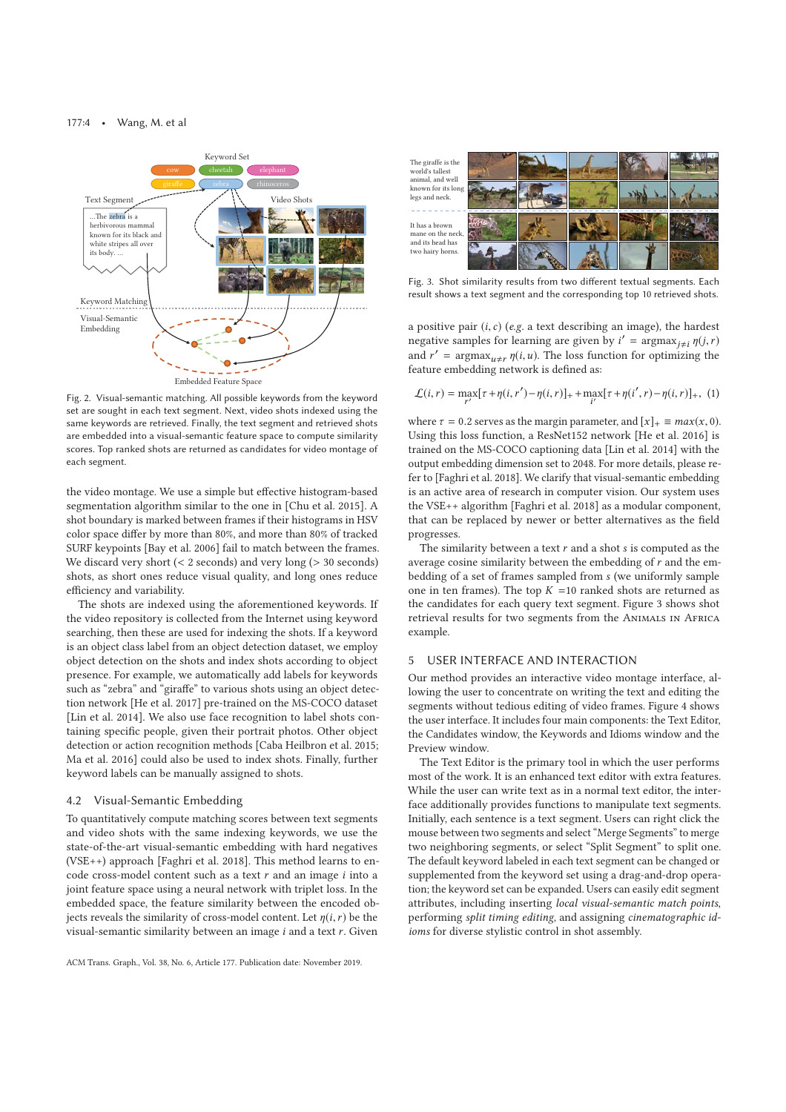# 177:4 • Wang, M. et al



Fig. 2. Visual-semantic matching. All possible keywords from the keyword set are sought in each text segment. Next, video shots indexed using the same keywords are retrieved. Finally, the text segment and retrieved shots are embedded into a visual-semantic feature space to compute similarity scores. Top ranked shots are returned as candidates for video montage of each segment.

the video montage. We use a simple but effective histogram-based segmentation algorithm similar to the one in [Chu et al. 2015]. A shot boundary is marked between frames if their histograms in HSV color space differ by more than 80%, and more than 80% of tracked SURF keypoints [Bay et al. 2006] fail to match between the frames. We discard very short (< 2 seconds) and very long (> 30 seconds) shots, as short ones reduce visual quality, and long ones reduce efficiency and variability.

The shots are indexed using the aforementioned keywords. If the video repository is collected from the Internet using keyword searching, then these are used for indexing the shots. If a keyword is an object class label from an object detection dataset, we employ object detection on the shots and index shots according to object presence. For example, we automatically add labels for keywords such as "zebra" and "giraffe" to various shots using an object detection network [He et al. 2017] pre-trained on the MS-COCO dataset [Lin et al. 2014]. We also use face recognition to label shots containing specific people, given their portrait photos. Other object detection or action recognition methods [Caba Heilbron et al. 2015; Ma et al. 2016] could also be used to index shots. Finally, further keyword labels can be manually assigned to shots.

## 4.2 Visual-Semantic Embedding

To quantitatively compute matching scores between text segments and video shots with the same indexing keywords, we use the state-of-the-art visual-semantic embedding with hard negatives (VSE++) approach [Faghri et al. 2018]. This method learns to encode cross-model content such as a text  $r$  and an image  $i$  into a joint feature space using a neural network with triplet loss. In the embedded space, the feature similarity between the encoded objects reveals the similarity of cross-model content. Let  $\eta(i, r)$  be the visual-semantic similarity between an image i and a text r. Given



Fig. 3. Shot similarity results from two different textual segments. Each result shows a text segment and the corresponding top 10 retrieved shots.

a positive pair  $(i, c)$  (e.g. a text describing an image), the hardest negative samples for learning are given by  $i' = \argmax_{j \neq i} \eta(j, r)$ and  $r'$  = argmax<sub>u≠r</sub>  $\eta(i, u)$ . The loss function for optimizing the feature embedding network is defined as:

$$
\mathcal{L}(i,r) = \max_{r'} [\tau + \eta(i,r') - \eta(i,r)]_+ + \max_{i'} [\tau + \eta(i',r) - \eta(i,r)]_+, (1)
$$

where  $\tau = 0.2$  serves as the margin parameter, and  $[x]_+ \equiv max(x, 0)$ . Using this loss function, a ResNet152 network [He et al. 2016] is trained on the MS-COCO captioning data [Lin et al. 2014] with the output embedding dimension set to 2048. For more details, please refer to [Faghri et al. 2018]. We clarify that visual-semantic embedding is an active area of research in computer vision. Our system uses the VSE++ algorithm [Faghri et al. 2018] as a modular component, that can be replaced by newer or better alternatives as the field progresses.

The similarity between a text  $r$  and a shot  $s$  is computed as the average cosine similarity between the embedding of  $r$  and the embedding of a set of frames sampled from s (we uniformly sample one in ten frames). The top  $K = 10$  ranked shots are returned as the candidates for each query text segment. Figure 3 shows shot retrieval results for two segments from the Animals in Africa example.

## 5 USER INTERFACE AND INTERACTION

Our method provides an interactive video montage interface, allowing the user to concentrate on writing the text and editing the segments without tedious editing of video frames. Figure 4 shows the user interface. It includes four main components: the Text Editor, the Candidates window, the Keywords and Idioms window and the Preview window.

The Text Editor is the primary tool in which the user performs most of the work. It is an enhanced text editor with extra features. While the user can write text as in a normal text editor, the interface additionally provides functions to manipulate text segments. Initially, each sentence is a text segment. Users can right click the mouse between two segments and select "Merge Segments" to merge two neighboring segments, or select "Split Segment" to split one. The default keyword labeled in each text segment can be changed or supplemented from the keyword set using a drag-and-drop operation; the keyword set can be expanded. Users can easily edit segment attributes, including inserting local visual-semantic match points, performing split timing editing, and assigning cinematographic idioms for diverse stylistic control in shot assembly.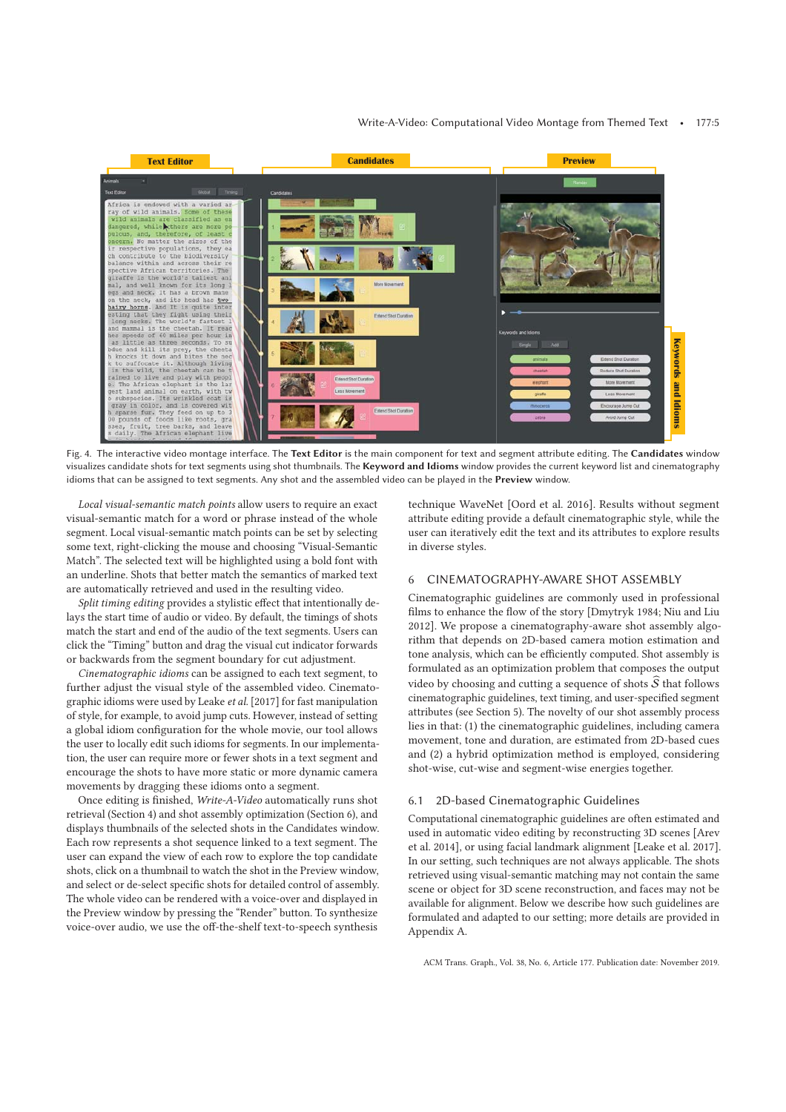Write-A-Video: Computational Video Montage from Themed Text • 177:5



Fig. 4. The interactive video montage interface. The **Text Editor** is the main component for text and segment attribute editing. The **Candidates** window visualizes candidate shots for text segments using shot thumbnails. The **Keyword and Idioms** window provides the current keyword list and cinematography idioms that can be assigned to text segments. Any shot and the assembled video can be played in the **Preview** window.

Local visual-semantic match points allow users to require an exact visual-semantic match for a word or phrase instead of the whole segment. Local visual-semantic match points can be set by selecting some text, right-clicking the mouse and choosing "Visual-Semantic Match". The selected text will be highlighted using a bold font with an underline. Shots that better match the semantics of marked text are automatically retrieved and used in the resulting video.

Split timing editing provides a stylistic effect that intentionally delays the start time of audio or video. By default, the timings of shots match the start and end of the audio of the text segments. Users can click the "Timing" button and drag the visual cut indicator forwards or backwards from the segment boundary for cut adjustment.

Cinematographic idioms can be assigned to each text segment, to further adjust the visual style of the assembled video. Cinematographic idioms were used by Leake et al. [2017] for fast manipulation of style, for example, to avoid jump cuts. However, instead of setting a global idiom configuration for the whole movie, our tool allows the user to locally edit such idioms for segments. In our implementation, the user can require more or fewer shots in a text segment and encourage the shots to have more static or more dynamic camera movements by dragging these idioms onto a segment.

Once editing is finished, Write-A-Video automatically runs shot retrieval (Section 4) and shot assembly optimization (Section 6), and displays thumbnails of the selected shots in the Candidates window. Each row represents a shot sequence linked to a text segment. The user can expand the view of each row to explore the top candidate shots, click on a thumbnail to watch the shot in the Preview window, and select or de-select specific shots for detailed control of assembly. The whole video can be rendered with a voice-over and displayed in the Preview window by pressing the "Render" button. To synthesize voice-over audio, we use the off-the-shelf text-to-speech synthesis

technique WaveNet [Oord et al. 2016]. Results without segment attribute editing provide a default cinematographic style, while the user can iteratively edit the text and its attributes to explore results in diverse styles.

# 6 CINEMATOGRAPHY-AWARE SHOT ASSEMBLY

Cinematographic guidelines are commonly used in professional films to enhance the flow of the story [Dmytryk 1984; Niu and Liu 2012]. We propose a cinematography-aware shot assembly algorithm that depends on 2D-based camera motion estimation and tone analysis, which can be efficiently computed. Shot assembly is formulated as an optimization problem that composes the output video by choosing and cutting a sequence of shots  ${\cal S}$  that follows cinematographic guidelines, text timing, and user-specified segment attributes (see Section 5). The novelty of our shot assembly process lies in that: (1) the cinematographic guidelines, including camera movement, tone and duration, are estimated from 2D-based cues and (2) a hybrid optimization method is employed, considering shot-wise, cut-wise and segment-wise energies together.

# 6.1 2D-based Cinematographic Guidelines

Computational cinematographic guidelines are often estimated and used in automatic video editing by reconstructing 3D scenes [Arev et al. 2014], or using facial landmark alignment [Leake et al. 2017]. In our setting, such techniques are not always applicable. The shots retrieved using visual-semantic matching may not contain the same scene or object for 3D scene reconstruction, and faces may not be available for alignment. Below we describe how such guidelines are formulated and adapted to our setting; more details are provided in Appendix A.

ACM Trans. Graph., Vol. 38, No. 6, Article 177. Publication date: November 2019.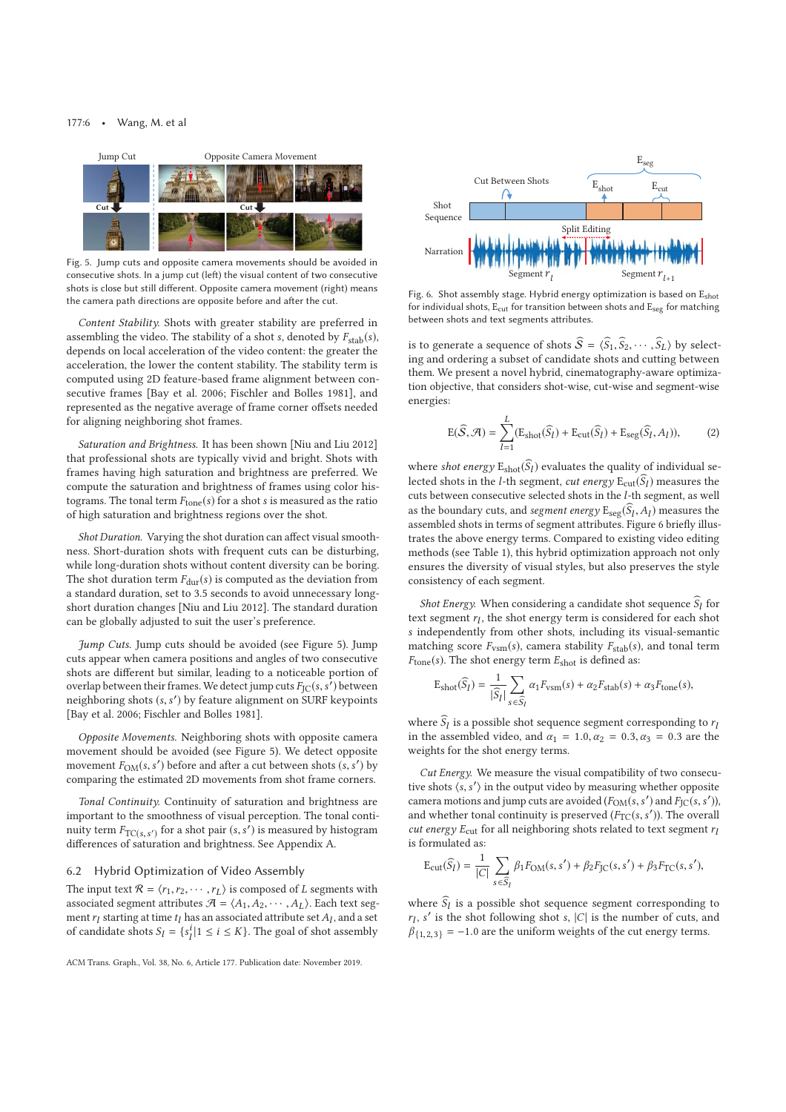#### 177:6 • Wang, M. et al



Fig. 5. Jump cuts and opposite camera movements should be avoided in consecutive shots. In a jump cut (left) the visual content of two consecutive shots is close but still different. Opposite camera movement (right) means the camera path directions are opposite before and after the cut.

Content Stability. Shots with greater stability are preferred in assembling the video. The stability of a shot s, denoted by  $F_{\text{stab}}(s)$ , depends on local acceleration of the video content: the greater the acceleration, the lower the content stability. The stability term is computed using 2D feature-based frame alignment between consecutive frames [Bay et al. 2006; Fischler and Bolles 1981], and represented as the negative average of frame corner offsets needed for aligning neighboring shot frames.

Saturation and Brightness. It has been shown [Niu and Liu 2012] that professional shots are typically vivid and bright. Shots with frames having high saturation and brightness are preferred. We compute the saturation and brightness of frames using color histograms. The tonal term  $F_{\text{tone}}(s)$  for a shot s is measured as the ratio of high saturation and brightness regions over the shot.

Shot Duration. Varying the shot duration can affect visual smoothness. Short-duration shots with frequent cuts can be disturbing, while long-duration shots without content diversity can be boring. The shot duration term  $F_{\rm dur}(s)$  is computed as the deviation from a standard duration, set to 3.5 seconds to avoid unnecessary longshort duration changes [Niu and Liu 2012]. The standard duration can be globally adjusted to suit the user's preference.

Jump Cuts. Jump cuts should be avoided (see Figure 5). Jump cuts appear when camera positions and angles of two consecutive shots are different but similar, leading to a noticeable portion of overlap between their frames. We detect jump cuts  $F_{\rm JC}(s,s')$  between neighboring shots (s, s') by feature alignment on SURF keypoints [Bay et al. 2006; Fischler and Bolles 1981].

Opposite Movements. Neighboring shots with opposite camera movement should be avoided (see Figure 5). We detect opposite movement  $F_{\text{OM}}(s, s')$  before and after a cut between shots  $(s, s')$  by comparing the estimated 2D movements from shot frame corners.

Tonal Continuity. Continuity of saturation and brightness are important to the smoothness of visual perception. The tonal continuity term  $F_{\text{TC}(s, s^{\prime})}$  for a shot pair  $(s, s^{\prime})$  is measured by histogram differences of saturation and brightness. See Appendix A.

#### 6.2 Hybrid Optimization of Video Assembly

The input text  $\mathcal{R} = \langle r_1, r_2, \cdots, r_L \rangle$  is composed of L segments with associated segment attributes  $\mathcal{A} = \langle A_1, A_2, \cdots, A_L \rangle$ . Each text segment  $r_l$  starting at time  $t_l$  has an associated attribute set  $A_l$ , and a set of candidate shots  $S_l = \{s_l^i | 1 \le i \le K\}$ . The goal of shot assembly





Fig. 6. Shot assembly stage. Hybrid energy optimization is based on  $E_{shot}$ for individual shots,  $E_{cut}$  for transition between shots and  $E_{seg}$  for matching between shots and text segments attributes.

is to generate a sequence of shots  $\widehat{S} = \langle \widehat{S}_1, \widehat{S}_2, \cdots, \widehat{S}_L \rangle$  by selecting and ordering a subset of candidate shots and cutting between them. We present a novel hybrid, cinematography-aware optimization objective, that considers shot-wise, cut-wise and segment-wise energies:

$$
E(\widehat{S}, \mathcal{A}) = \sum_{l=1}^{L} (E_{\text{shot}}(\widehat{S}_l) + E_{\text{cut}}(\widehat{S}_l) + E_{\text{seg}}(\widehat{S}_l, A_l)),
$$
 (2)

where *shot energy*  $E_{shot}(\widehat{S}_l)$  evaluates the quality of individual selected shots in the *l*-th segment, *cut energy*  $\mathrm{E_{cut}}(\widehat{S}_l)$  measures the cuts between consecutive selected shots in the l-th segment, as well as the boundary cuts, and segment energy  $\mathrm{E}_{\mathrm{seg}}(\widehat{S}_l,A_l)$  measures the assembled shots in terms of segment attributes. Figure 6 briefly illustrates the above energy terms. Compared to existing video editing methods (see Table 1), this hybrid optimization approach not only ensures the diversity of visual styles, but also preserves the style consistency of each segment.

Shot Energy. When considering a candidate shot sequence  $\widehat{S}_l$  for text segment  $r_l$ , the shot energy term is considered for each shot s independently from other shots, including its visual-semantic matching score  $F_{vsm}(s)$ , camera stability  $F_{stab}(s)$ , and tonal term  $F<sub>none</sub>(s)$ . The shot energy term  $E<sub>shot</sub>$  is defined as:

$$
E_{\text{shot}}(\widehat{S}_l) = \frac{1}{|\widehat{S}_l|} \sum_{s \in \widehat{S}_l} \alpha_1 F_{\text{vsm}}(s) + \alpha_2 F_{\text{stab}}(s) + \alpha_3 F_{\text{tone}}(s),
$$

where  $\widehat{S}_l$  is a possible shot sequence segment corresponding to  $r_l$ in the assembled video, and  $\alpha_1 = 1.0, \alpha_2 = 0.3, \alpha_3 = 0.3$  are the weights for the shot energy terms.

Cut Energy. We measure the visual compatibility of two consecutive shots  $\langle s, s' \rangle$  in the output video by measuring whether opposite camera motions and jump cuts are avoided  $(F_{OM}(s, s')$  and  $F_{\rm JC}(s, s')),$ and whether tonal continuity is preserved  $(F_{\text{TC}}(s, s'))$ . The overall cut energy  $E_{\text{cut}}$  for all neighboring shots related to text segment  $r_l$ is formulated as:

$$
\mathrm{E}_{\mathrm{cut}}(\widehat{S}_I) = \frac{1}{|C|} \sum_{s \in \widehat{S}_I} \beta_1 F_{\mathrm{OM}}(s, s') + \beta_2 F_{\mathrm{JC}}(s, s') + \beta_3 F_{\mathrm{TC}}(s, s'),
$$

where  $\widehat{S}_l$  is a possible shot sequence segment corresponding to  $r_l$ , s' is the shot following shot s, |C| is the number of cuts, and  $\beta_{\{1,2,3\}} = -1.0$  are the uniform weights of the cut energy terms.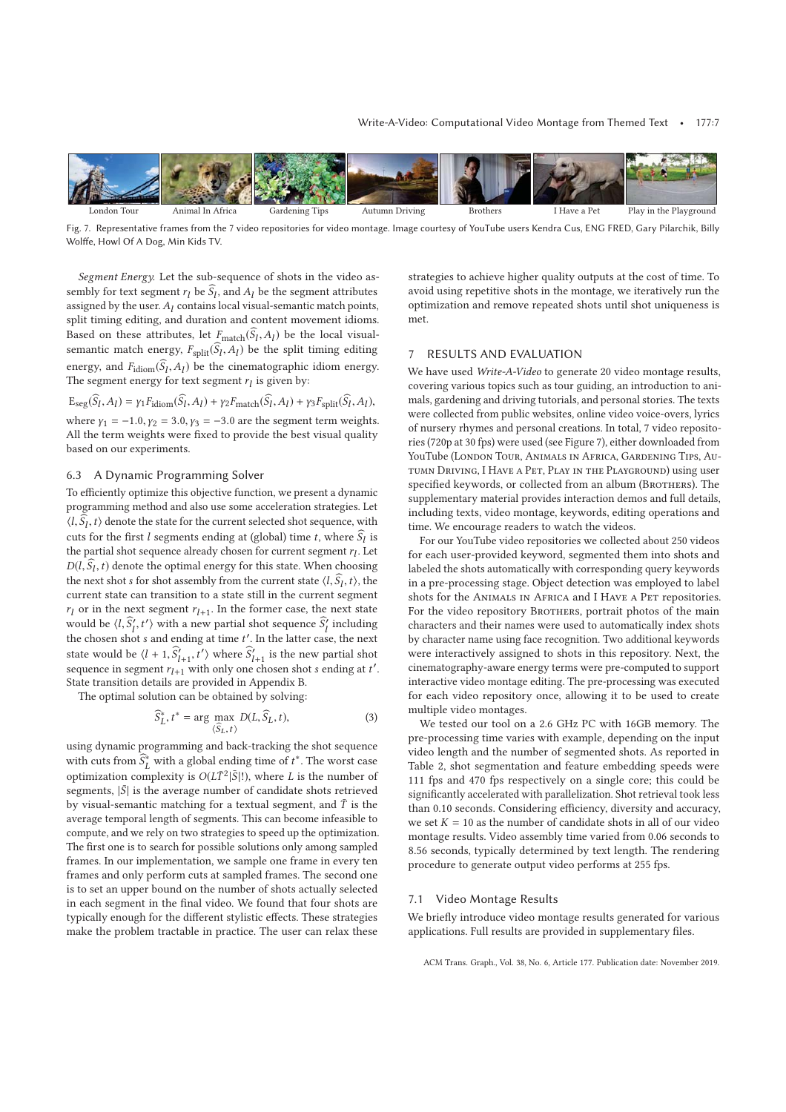

Fig. 7. Representative frames from the 7 video repositories for video montage. Image courtesy of YouTube users Kendra Cus, ENG FRED, Gary Pilarchik, Billy Wolffe, Howl Of A Dog, Min Kids TV.

Segment Energy. Let the sub-sequence of shots in the video assembly for text segment  $r_l$  be  $\widehat{S}_l$ , and  $A_l$  be the segment attributes assigned by the user.  $A<sub>l</sub>$  contains local visual-semantic match points, split timing editing, and duration and content movement idioms. Based on these attributes, let  $F_{\text{match}}(\widehat{S}_l, A_l)$  be the local visualsemantic match energy,  $F_{split}(\widehat{S}_l, A_l)$  be the split timing editing energy, and  $F_{\text{idiom}}(\widehat{S}_l, A_l)$  be the cinematographic idiom energy. The segment energy for text segment  $r_l$  is given by:

$$
E_{seg}(\widehat{S}_l, A_l) = \gamma_1 F_{\text{idiom}}(\widehat{S}_l, A_l) + \gamma_2 F_{\text{match}}(\widehat{S}_l, A_l) + \gamma_3 F_{\text{split}}(\widehat{S}_l, A_l),
$$
  
where  $\gamma_1 = -1.0, \gamma_2 = 3.0, \gamma_3 = -3.0$  are the segment term weights.

All the term weights were fixed to provide the best visual quality based on our experiments.

## 6.3 A Dynamic Programming Solver

To efficiently optimize this objective function, we present a dynamic programming method and also use some acceleration strategies. Let  $\langle l, \widehat{S}_l, t \rangle$  denote the state for the current selected shot sequence, with cuts for the first  $l$  segments ending at (global) time  $t$ , where  $\widehat{S}_l$  is the partial shot sequence already chosen for current segment  $r_l$ . Let  $D(l, \widehat{S}_l, t)$  denote the optimal energy for this state. When choosing the next shot s for shot assembly from the current state  $\langle l, \hat{S}_l, t \rangle$ , the current state can transition to a state still in the current segment  $r_l$  or in the next segment  $r_{l+1}$ . In the former case, the next state would be  $\langle l, \widehat{s}'_l, t' \rangle$  with a new partial shot sequence  $\widehat{s}'_l$  including the chosen shot s and ending at time  $t'$ . In the latter case, the next state would be  $\langle l + 1, \hat{S}'_{l+1}, t' \rangle$  where  $\hat{S}'_{l+1}$  is the new partial shot sequence in segment  $r_{l+1}$  with only one chosen shot s ending at t'. State transition details are provided in Appendix B.

The optimal solution can be obtained by solving:

$$
\widehat{S}_L^*, t^* = \arg\max_{\langle \widehat{S}_L, t \rangle} D(L, \widehat{S}_L, t), \tag{3}
$$

using dynamic programming and back-tracking the shot sequence with cuts from  $\widehat{S}_L^*$  with a global ending time of  $t^*$ . The worst case optimization complexity is  $O(L\overline{T}^2|\overline{S}|!)$ , where L is the number of segments,  $|\bar{S}|$  is the average number of candidate shots retrieved by visual-semantic matching for a textual segment, and  $\bar{T}$  is the average temporal length of segments. This can become infeasible to compute, and we rely on two strategies to speed up the optimization. The first one is to search for possible solutions only among sampled frames. In our implementation, we sample one frame in every ten frames and only perform cuts at sampled frames. The second one is to set an upper bound on the number of shots actually selected in each segment in the final video. We found that four shots are typically enough for the different stylistic effects. These strategies make the problem tractable in practice. The user can relax these

strategies to achieve higher quality outputs at the cost of time. To avoid using repetitive shots in the montage, we iteratively run the optimization and remove repeated shots until shot uniqueness is met.

# 7 RESULTS AND EVALUATION

We have used Write-A-Video to generate 20 video montage results, covering various topics such as tour guiding, an introduction to animals, gardening and driving tutorials, and personal stories. The texts were collected from public websites, online video voice-overs, lyrics of nursery rhymes and personal creations. In total, 7 video repositories (720p at 30 fps) were used (see Figure 7), either downloaded from YouTube (London Tour, Animals in Africa, Gardening Tips, Autumn Driving, I Have a Pet, Play in the Playground) using user specified keywords, or collected from an album (BROTHERS). The supplementary material provides interaction demos and full details, including texts, video montage, keywords, editing operations and time. We encourage readers to watch the videos.

For our YouTube video repositories we collected about 250 videos for each user-provided keyword, segmented them into shots and labeled the shots automatically with corresponding query keywords in a pre-processing stage. Object detection was employed to label shots for the ANIMALS IN AFRICA and I HAVE A PET repositories. For the video repository BROTHERS, portrait photos of the main characters and their names were used to automatically index shots by character name using face recognition. Two additional keywords were interactively assigned to shots in this repository. Next, the cinematography-aware energy terms were pre-computed to support interactive video montage editing. The pre-processing was executed for each video repository once, allowing it to be used to create multiple video montages.

We tested our tool on a 2.6 GHz PC with 16GB memory. The pre-processing time varies with example, depending on the input video length and the number of segmented shots. As reported in Table 2, shot segmentation and feature embedding speeds were 111 fps and 470 fps respectively on a single core; this could be significantly accelerated with parallelization. Shot retrieval took less than 0.10 seconds. Considering efficiency, diversity and accuracy, we set  $K = 10$  as the number of candidate shots in all of our video montage results. Video assembly time varied from 0.06 seconds to 8.56 seconds, typically determined by text length. The rendering procedure to generate output video performs at 255 fps.

#### 7.1 Video Montage Results

We briefly introduce video montage results generated for various applications. Full results are provided in supplementary files.

ACM Trans. Graph., Vol. 38, No. 6, Article 177. Publication date: November 2019.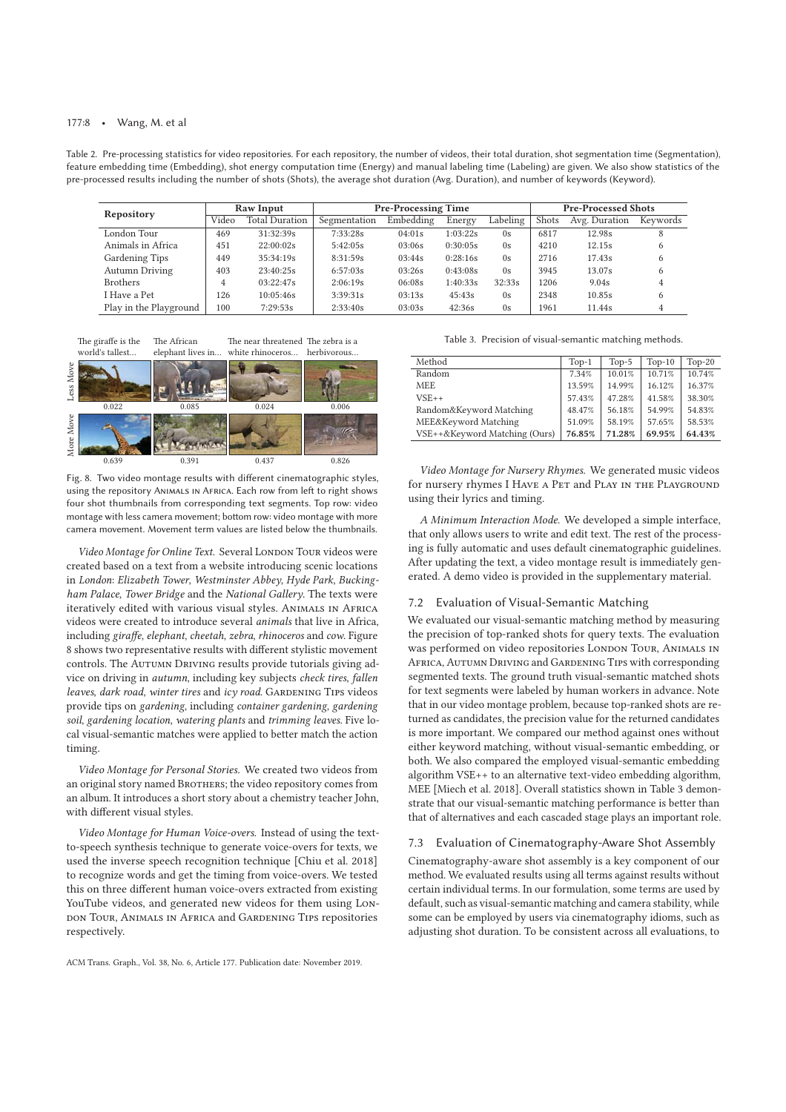# 177:8 • Wang, M. et al

Table 2. Pre-processing statistics for video repositories. For each repository, the number of videos, their total duration, shot segmentation time (Segmentation), feature embedding time (Embedding), shot energy computation time (Energy) and manual labeling time (Labeling) are given. We also show statistics of the pre-processed results including the number of shots (Shots), the average shot duration (Avg. Duration), and number of keywords (Keyword).

| Repository             | Raw Input      |                | <b>Pre-Processing Time</b> |           |          |          | <b>Pre-Processed Shots</b> |               |          |
|------------------------|----------------|----------------|----------------------------|-----------|----------|----------|----------------------------|---------------|----------|
|                        | Video          | Total Duration | Segmentation               | Embedding | Energy   | Labeling | Shots                      | Avg. Duration | Keywords |
| London Tour            | 469            | 31:32:39s      | 7:33:28s                   | 04:01s    | 1:03:22s | 0s       | 6817                       | 12.98s        |          |
| Animals in Africa      | 451            | 22:00:02s      | 5:42:05s                   | 03:06s    | 0:30:05s | 0s       | 4210                       | 12.15s        | 6        |
| Gardening Tips         | 449            | 35:34:19s      | 8:31:59s                   | 03:44s    | 0:28:16s | 0s       | 2716                       | 17.43s        | 6        |
| <b>Autumn Driving</b>  | 403            | 23:40:25s      | 6:57:03s                   | 03:26s    | 0:43:08s | 0s       | 3945                       | 13.07s        | 6        |
| <b>Brothers</b>        | $\overline{4}$ | 03:22:47s      | 2:06:19s                   | 06:08s    | 1:40:33s | 32:33s   | 1206                       | 9.04s         | 4        |
| I Have a Pet           | 126            | 10:05:46s      | 3:39:31s                   | 03:13s    | 45:43s   | 0s       | 2348                       | 10.85s        | 6        |
| Play in the Playground | 100            | 7:29:53s       | 2:33:40s                   | 03:03s    | 42:36s   | 0s       | 1961                       | 11.44s        | 4        |



Fig. 8. Two video montage results with different cinematographic styles, using the repository Animals in Africa. Each row from left to right shows four shot thumbnails from corresponding text segments. Top row: video montage with less camera movement; bottom row: video montage with more camera movement. Movement term values are listed below the thumbnails.

Video Montage for Online Text. Several LONDON TOUR videos were created based on a text from a website introducing scenic locations in London: Elizabeth Tower, Westminster Abbey, Hyde Park, Buckingham Palace, Tower Bridge and the National Gallery. The texts were iteratively edited with various visual styles. ANIMALS IN AFRICA videos were created to introduce several animals that live in Africa, including giraffe, elephant, cheetah, zebra, rhinoceros and cow. Figure 8 shows two representative results with different stylistic movement controls. The Autumn Driving results provide tutorials giving advice on driving in autumn, including key subjects check tires, fallen leaves, dark road, winter tires and icy road. GARDENING TIPS videos provide tips on gardening, including container gardening, gardening soil, gardening location, watering plants and trimming leaves. Five local visual-semantic matches were applied to better match the action timing.

Video Montage for Personal Stories. We created two videos from an original story named BROTHERS; the video repository comes from an album. It introduces a short story about a chemistry teacher John, with different visual styles.

Video Montage for Human Voice-overs. Instead of using the textto-speech synthesis technique to generate voice-overs for texts, we used the inverse speech recognition technique [Chiu et al. 2018] to recognize words and get the timing from voice-overs. We tested this on three different human voice-overs extracted from existing YouTube videos, and generated new videos for them using London Tour, Animals in Africa and Gardening Tips repositories respectively.

Table 3. Precision of visual-semantic matching methods.

| Method                        | $Top-1$ | $Top-5$ | $Top-10$ | $Top-20$ |
|-------------------------------|---------|---------|----------|----------|
| Random                        | 7.34%   | 10.01%  | 10.71%   | 10.74%   |
| <b>MEE</b>                    | 13.59%  | 14.99%  | 16.12%   | 16.37%   |
| $VSE++$                       | 57.43%  | 47.28%  | 41.58%   | 38.30%   |
| Random&Keyword Matching       | 48.47%  | 56.18%  | 54.99%   | 54.83%   |
| MEE&Keyword Matching          | 51.09%  | 58.19%  | 57.65%   | 58.53%   |
| VSE++&Keyword Matching (Ours) | 76.85%  | 71.28%  | 69.95%   | 64.43%   |

Video Montage for Nursery Rhymes. We generated music videos for nursery rhymes I HAVE A PET and PLAY IN THE PLAYGROUND using their lyrics and timing.

A Minimum Interaction Mode. We developed a simple interface, that only allows users to write and edit text. The rest of the processing is fully automatic and uses default cinematographic guidelines. After updating the text, a video montage result is immediately generated. A demo video is provided in the supplementary material.

## 7.2 Evaluation of Visual-Semantic Matching

We evaluated our visual-semantic matching method by measuring the precision of top-ranked shots for query texts. The evaluation was performed on video repositories LONDON TOUR, ANIMALS IN Africa, Autumn Driving and Gardening Tips with corresponding segmented texts. The ground truth visual-semantic matched shots for text segments were labeled by human workers in advance. Note that in our video montage problem, because top-ranked shots are returned as candidates, the precision value for the returned candidates is more important. We compared our method against ones without either keyword matching, without visual-semantic embedding, or both. We also compared the employed visual-semantic embedding algorithm VSE++ to an alternative text-video embedding algorithm, MEE [Miech et al. 2018]. Overall statistics shown in Table 3 demonstrate that our visual-semantic matching performance is better than that of alternatives and each cascaded stage plays an important role.

#### 7.3 Evaluation of Cinematography-Aware Shot Assembly

Cinematography-aware shot assembly is a key component of our method. We evaluated results using all terms against results without certain individual terms. In our formulation, some terms are used by default, such as visual-semantic matching and camera stability, while some can be employed by users via cinematography idioms, such as adjusting shot duration. To be consistent across all evaluations, to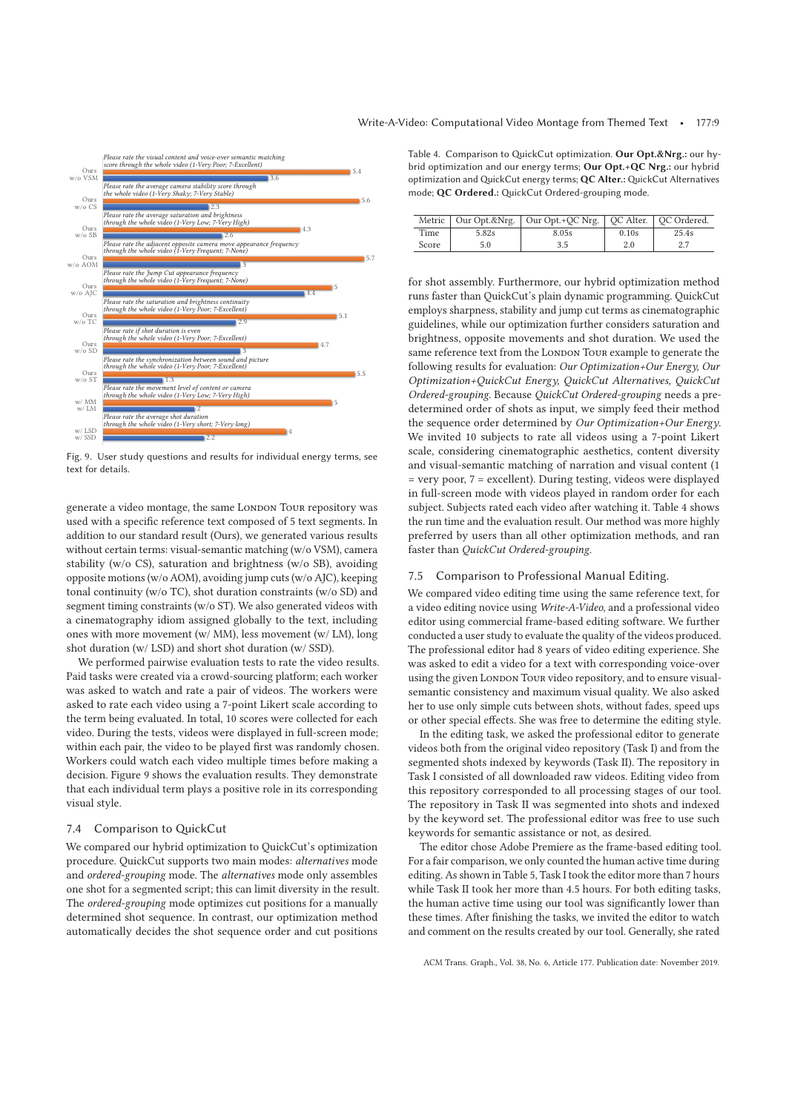

Fig. 9. User study questions and results for individual energy terms, see text for details.

generate a video montage, the same LONDON Tour repository was used with a specific reference text composed of 5 text segments. In addition to our standard result (Ours), we generated various results without certain terms: visual-semantic matching (w/o VSM), camera stability (w/o CS), saturation and brightness (w/o SB), avoiding opposite motions (w/o AOM), avoiding jump cuts (w/o AJC), keeping tonal continuity (w/o TC), shot duration constraints (w/o SD) and segment timing constraints (w/o ST). We also generated videos with a cinematography idiom assigned globally to the text, including ones with more movement (w/ MM), less movement (w/ LM), long shot duration (w/ LSD) and short shot duration (w/ SSD).

We performed pairwise evaluation tests to rate the video results. Paid tasks were created via a crowd-sourcing platform; each worker was asked to watch and rate a pair of videos. The workers were asked to rate each video using a 7-point Likert scale according to the term being evaluated. In total, 10 scores were collected for each video. During the tests, videos were displayed in full-screen mode; within each pair, the video to be played first was randomly chosen. Workers could watch each video multiple times before making a decision. Figure 9 shows the evaluation results. They demonstrate that each individual term plays a positive role in its corresponding visual style.

#### 7.4 Comparison to QuickCut

We compared our hybrid optimization to QuickCut's optimization procedure. QuickCut supports two main modes: alternatives mode and ordered-grouping mode. The alternatives mode only assembles one shot for a segmented script; this can limit diversity in the result. The ordered-grouping mode optimizes cut positions for a manually determined shot sequence. In contrast, our optimization method automatically decides the shot sequence order and cut positions

#### Write-A-Video: Computational Video Montage from Themed Text • 177:9

Table 4. Comparison to QuickCut optimization. **Our Opt.&Nrg.:** our hybrid optimization and our energy terms; **Our Opt.+QC Nrg.:** our hybrid optimization andQuickCut energy terms; **QC Alter.:**QuickCut Alternatives mode; **QC Ordered.:** QuickCut Ordered-grouping mode.

|       |       | Metric   Our Opt.&Nrg.   Our Opt.+QC Nrg.   QC Alter.   QC Ordered. |       |       |
|-------|-------|---------------------------------------------------------------------|-------|-------|
| Time  | 5.82s | 8.05s                                                               | 0.10s | 25.4s |
| Score | 5.0   | 3.5                                                                 | 2.0   |       |

for shot assembly. Furthermore, our hybrid optimization method runs faster than QuickCut's plain dynamic programming. QuickCut employs sharpness, stability and jump cut terms as cinematographic guidelines, while our optimization further considers saturation and brightness, opposite movements and shot duration. We used the same reference text from the LONDON TOUR example to generate the following results for evaluation: Our Optimization+Our Energy, Our Optimization+QuickCut Energy, QuickCut Alternatives, QuickCut Ordered-grouping. Because QuickCut Ordered-grouping needs a predetermined order of shots as input, we simply feed their method the sequence order determined by Our Optimization+Our Energy. We invited 10 subjects to rate all videos using a 7-point Likert scale, considering cinematographic aesthetics, content diversity and visual-semantic matching of narration and visual content (1 = very poor, 7 = excellent). During testing, videos were displayed in full-screen mode with videos played in random order for each subject. Subjects rated each video after watching it. Table 4 shows the run time and the evaluation result. Our method was more highly preferred by users than all other optimization methods, and ran faster than QuickCut Ordered-grouping.

#### 7.5 Comparison to Professional Manual Editing.

We compared video editing time using the same reference text, for a video editing novice using Write-A-Video, and a professional video editor using commercial frame-based editing software. We further conducted a user study to evaluate the quality of the videos produced. The professional editor had 8 years of video editing experience. She was asked to edit a video for a text with corresponding voice-over using the given LONDON TOUR video repository, and to ensure visualsemantic consistency and maximum visual quality. We also asked her to use only simple cuts between shots, without fades, speed ups or other special effects. She was free to determine the editing style.

In the editing task, we asked the professional editor to generate videos both from the original video repository (Task I) and from the segmented shots indexed by keywords (Task II). The repository in Task I consisted of all downloaded raw videos. Editing video from this repository corresponded to all processing stages of our tool. The repository in Task II was segmented into shots and indexed by the keyword set. The professional editor was free to use such keywords for semantic assistance or not, as desired.

The editor chose Adobe Premiere as the frame-based editing tool. For a fair comparison, we only counted the human active time during editing. As shown in Table 5, Task I took the editor more than 7 hours while Task II took her more than 4.5 hours. For both editing tasks, the human active time using our tool was significantly lower than these times. After finishing the tasks, we invited the editor to watch and comment on the results created by our tool. Generally, she rated

ACM Trans. Graph., Vol. 38, No. 6, Article 177. Publication date: November 2019.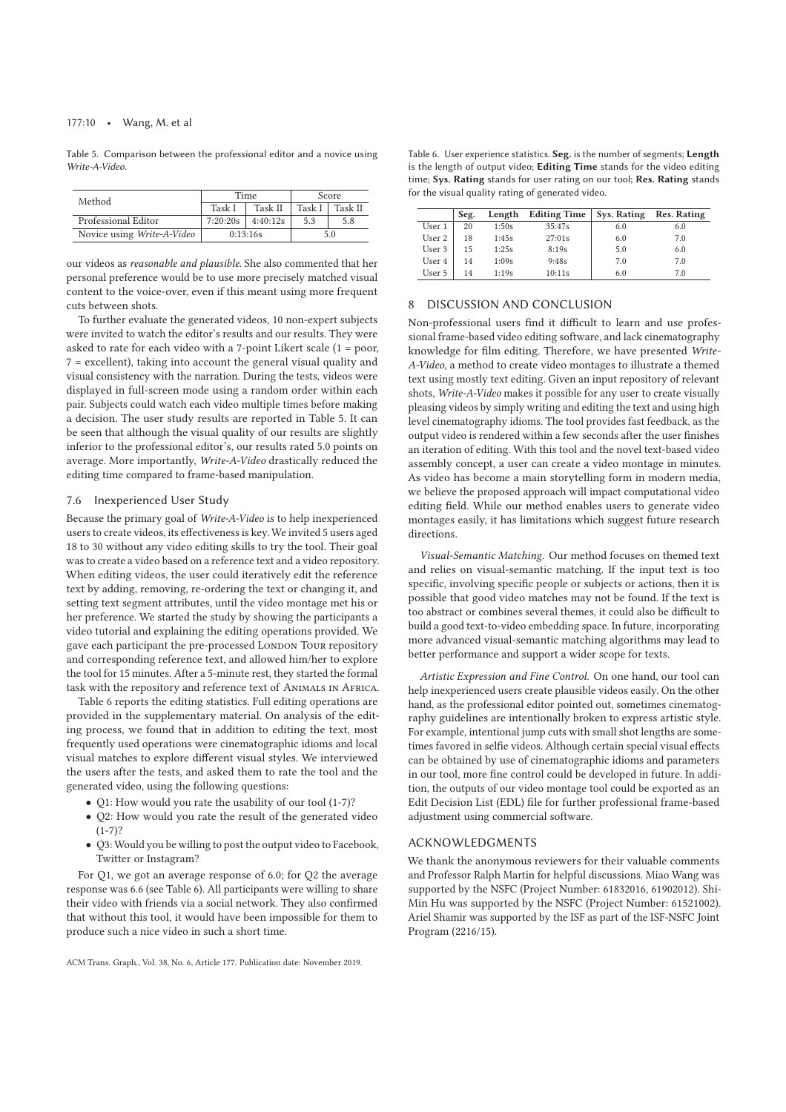# 177:10 • Wang, M. et al

Table 5. Comparison between the professional editor and a novice using Write-A-Video.

| Method                     | Time     |          | <b>Score</b> |         |
|----------------------------|----------|----------|--------------|---------|
|                            | Task I   | Task II  | Task I       | Task II |
| Professional Editor        | 7:20:20s | 4:40:12s | 5.3          | 5.8     |
| Novice using Write-A-Video | 0:13:16s |          | 5.0          |         |

our videos as reasonable and plausible. She also commented that her personal preference would be to use more precisely matched visual content to the voice-over, even if this meant using more frequent cuts between shots.

To further evaluate the generated videos, 10 non-expert subjects were invited to watch the editor's results and our results. They were asked to rate for each video with a 7-point Likert scale (1 = poor, 7 = excellent), taking into account the general visual quality and visual consistency with the narration. During the tests, videos were displayed in full-screen mode using a random order within each pair. Subjects could watch each video multiple times before making a decision. The user study results are reported in Table 5. It can be seen that although the visual quality of our results are slightly inferior to the professional editor's, our results rated 5.0 points on average. More importantly, Write-A-Video drastically reduced the editing time compared to frame-based manipulation.

# 7.6 Inexperienced User Study

Because the primary goal of Write-A-Video is to help inexperienced users to create videos, its effectiveness is key. We invited 5 users aged 18 to 30 without any video editing skills to try the tool. Their goal was to create a video based on a reference text and a video repository. When editing videos, the user could iteratively edit the reference text by adding, removing, re-ordering the text or changing it, and setting text segment attributes, until the video montage met his or her preference. We started the study by showing the participants a video tutorial and explaining the editing operations provided. We gave each participant the pre-processed LONDON TOUR repository and corresponding reference text, and allowed him/her to explore the tool for 15 minutes. After a 5-minute rest, they started the formal task with the repository and reference text of Animals in Africa.

Table 6 reports the editing statistics. Full editing operations are provided in the supplementary material. On analysis of the editing process, we found that in addition to editing the text, most frequently used operations were cinematographic idioms and local visual matches to explore different visual styles. We interviewed the users after the tests, and asked them to rate the tool and the generated video, using the following questions:

- Q1: How would you rate the usability of our tool (1-7)?
- Q2: How would you rate the result of the generated video  $(1-7)$ ?
- Q3: Would you be willing to post the output video to Facebook, Twitter or Instagram?

For Q1, we got an average response of 6.0; for Q2 the average response was 6.6 (see Table 6). All participants were willing to share their video with friends via a social network. They also confirmed that without this tool, it would have been impossible for them to produce such a nice video in such a short time.

Table 6. User experience statistics. **Seg.** is the number of segments; **Length** is the length of output video; **Editing Time** stands for the video editing time; **Sys. Rating** stands for user rating on our tool; **Res. Rating** stands for the visual quality rating of generated video.

|        | Seg. | Length | <b>Editing Time</b> | <b>Sys. Rating</b> | <b>Res. Rating</b> |
|--------|------|--------|---------------------|--------------------|--------------------|
| User 1 | 20   | 1:50s  | 35:47s              | 6.0                | 6.0                |
| User 2 | 18   | 1:45s  | 27:01s              | 6.0                | 7.0                |
| User 3 | 15   | 1:25s  | 8:19s               | 5.0                | 6.0                |
| User 4 | 14   | 1:09s  | 9:48s               | 7.0                | 7.0                |
| User 5 | 14   | 1:19s  | 10:11s              | 6.0                | 7.0                |

## 8 DISCUSSION AND CONCLUSION

Non-professional users find it difficult to learn and use professional frame-based video editing software, and lack cinematography knowledge for film editing. Therefore, we have presented Write-A-Video, a method to create video montages to illustrate a themed text using mostly text editing. Given an input repository of relevant shots, Write-A-Video makes it possible for any user to create visually pleasing videos by simply writing and editing the text and using high level cinematography idioms. The tool provides fast feedback, as the output video is rendered within a few seconds after the user finishes an iteration of editing. With this tool and the novel text-based video assembly concept, a user can create a video montage in minutes. As video has become a main storytelling form in modern media, we believe the proposed approach will impact computational video editing field. While our method enables users to generate video montages easily, it has limitations which suggest future research directions.

Visual-Semantic Matching. Our method focuses on themed text and relies on visual-semantic matching. If the input text is too specific, involving specific people or subjects or actions, then it is possible that good video matches may not be found. If the text is too abstract or combines several themes, it could also be difficult to build a good text-to-video embedding space. In future, incorporating more advanced visual-semantic matching algorithms may lead to better performance and support a wider scope for texts.

Artistic Expression and Fine Control. On one hand, our tool can help inexperienced users create plausible videos easily. On the other hand, as the professional editor pointed out, sometimes cinematography guidelines are intentionally broken to express artistic style. For example, intentional jump cuts with small shot lengths are sometimes favored in selfie videos. Although certain special visual effects can be obtained by use of cinematographic idioms and parameters in our tool, more fine control could be developed in future. In addition, the outputs of our video montage tool could be exported as an Edit Decision List (EDL) file for further professional frame-based adjustment using commercial software.

## ACKNOWLEDGMENTS

We thank the anonymous reviewers for their valuable comments and Professor Ralph Martin for helpful discussions. Miao Wang was supported by the NSFC (Project Number: 61832016, 61902012). Shi-Min Hu was supported by the NSFC (Project Number: 61521002). Ariel Shamir was supported by the ISF as part of the ISF-NSFC Joint Program (2216/15).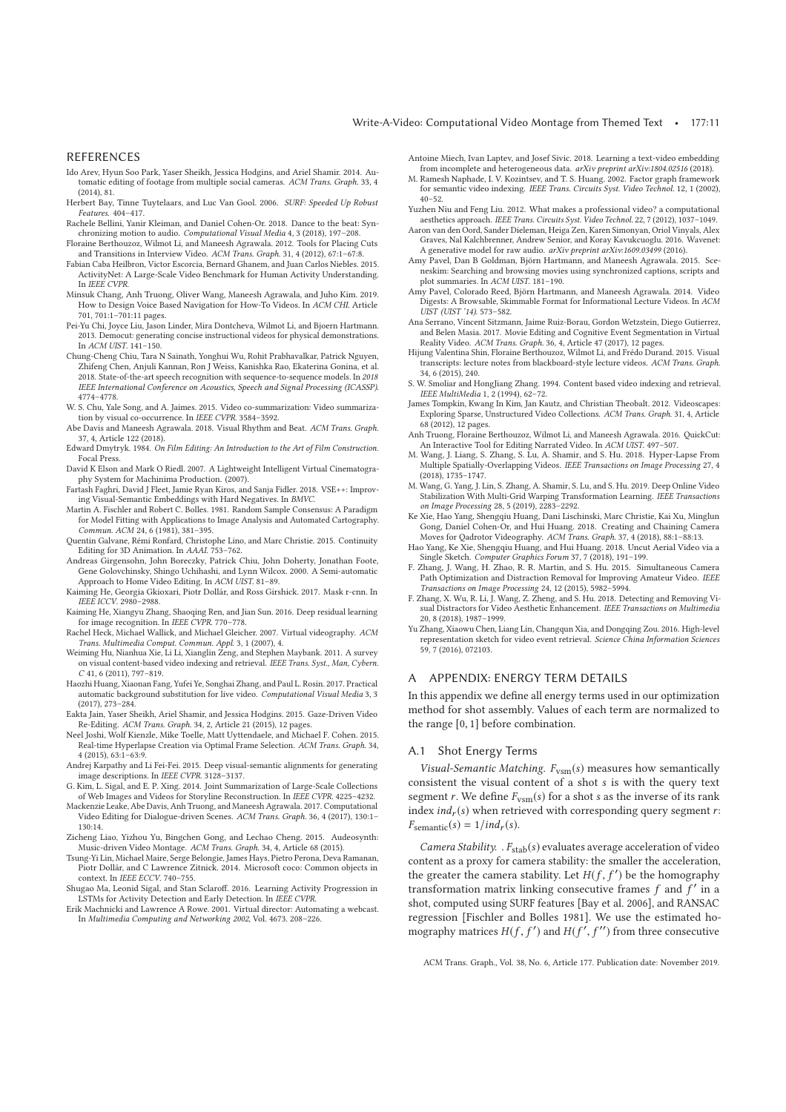#### **REFERENCES**

- Ido Arev, Hyun Soo Park, Yaser Sheikh, Jessica Hodgins, and Ariel Shamir. 2014. Automatic editing of footage from multiple social cameras. ACM Trans. Graph. 33, 4 (2014), 81. Herbert Bay, Tinne Tuytelaars, and Luc Van Gool. 2006. SURF: Speeded Up Robust
- Features. 404–417.
- Rachele Bellini, Yanir Kleiman, and Daniel Cohen-Or. 2018. Dance to the beat: Synchronizing motion to audio. Computational Visual Media 4, 3 (2018), 197–208.
- Floraine Berthouzoz, Wilmot Li, and Maneesh Agrawala. 2012. Tools for Placing Cuts and Transitions in Interview Video. ACM Trans. Graph. 31, 4 (2012), 67:1–67:8.
- Fabian Caba Heilbron, Victor Escorcia, Bernard Ghanem, and Juan Carlos Niebles. 2015. ActivityNet: A Large-Scale Video Benchmark for Human Activity Understanding. In IEEE CVPR.
- Minsuk Chang, Anh Truong, Oliver Wang, Maneesh Agrawala, and Juho Kim. 2019. How to Design Voice Based Navigation for How-To Videos. In ACM CHI. Article 701, 701:1–701:11 pages.
- Pei-Yu Chi, Joyce Liu, Jason Linder, Mira Dontcheva, Wilmot Li, and Bjoern Hartmann. 2013. Democut: generating concise instructional videos for physical demonstrations. In ACM UIST. 141–150.
- Chung-Cheng Chiu, Tara N Sainath, Yonghui Wu, Rohit Prabhavalkar, Patrick Nguyen, Zhifeng Chen, Anjuli Kannan, Ron J Weiss, Kanishka Rao, Ekaterina Gonina, et al. 2018. State-of-the-art speech recognition with sequence-to-sequence models. In 2018 IEEE International Conference on Acoustics, Speech and Signal Processing (ICASSP). 4774–4778.
- W. S. Chu, Yale Song, and A. Jaimes. 2015. Video co-summarization: Video summarization by visual co-occurrence. In IEEE CVPR. 3584–3592.
- Abe Davis and Maneesh Agrawala. 2018. Visual Rhythm and Beat. ACM Trans. Graph. 37, 4, Article 122 (2018).
- Edward Dmytryk. 1984. On Film Editing: An Introduction to the Art of Film Construction. Focal Press.
- David K Elson and Mark O Riedl. 2007. A Lightweight Intelligent Virtual Cinematography System for Machinima Production. (2007).
- Fartash Faghri, David J Fleet, Jamie Ryan Kiros, and Sanja Fidler. 2018. VSE++: Improving Visual-Semantic Embeddings with Hard Negatives. In BMVC.
- Martin A. Fischler and Robert C. Bolles. 1981. Random Sample Consensus: A Paradigm for Model Fitting with Applications to Image Analysis and Automated Cartography. Commun. ACM 24, 6 (1981), 381–395.
- Quentin Galvane, Rémi Ronfard, Christophe Lino, and Marc Christie. 2015. Continuity Editing for 3D Animation. In AAAI. 753–762.
- Andreas Girgensohn, John Boreczky, Patrick Chiu, John Doherty, Jonathan Foote, Gene Golovchinsky, Shingo Uchihashi, and Lynn Wilcox. 2000. A Semi-automatic Approach to Home Video Editing. In ACM UIST. 81–89.
- Kaiming He, Georgia Gkioxari, Piotr Dollár, and Ross Girshick. 2017. Mask r-cnn. In IEEE ICCV. 2980–2988.
- Kaiming He, Xiangyu Zhang, Shaoqing Ren, and Jian Sun. 2016. Deep residual learning for image recognition. In IEEE CVPR. 770–778.
- Rachel Heck, Michael Wallick, and Michael Gleicher. 2007. Virtual videography. ACM Trans. Multimedia Comput. Commun. Appl. 3, 1 (2007), 4.
- Weiming Hu, Nianhua Xie, Li Li, Xianglin Zeng, and Stephen Maybank. 2011. A survey on visual content-based video indexing and retrieval. IEEE Trans. Syst., Man, Cybern. C 41, 6 (2011), 797–819.
- Haozhi Huang, Xiaonan Fang, Yufei Ye, Songhai Zhang, and Paul L. Rosin. 2017. Practical automatic background substitution for live video. Computational Visual Media 3, 3 (2017), 273–284.
- Eakta Jain, Yaser Sheikh, Ariel Shamir, and Jessica Hodgins. 2015. Gaze-Driven Video Re-Editing. ACM Trans. Graph. 34, 2, Article 21 (2015), 12 page
- Neel Joshi, Wolf Kienzle, Mike Toelle, Matt Uyttendaele, and Michael F. Cohen. 2015. Real-time Hyperlapse Creation via Optimal Frame Selection. ACM Trans. Graph. 34, 4 (2015), 63:1–63:9.
- Andrej Karpathy and Li Fei-Fei. 2015. Deep visual-semantic alignments for generating image descriptions. In IEEE CVPR. 3128–3137.
- G. Kim, L. Sigal, and E. P. Xing. 2014. Joint Summarization of Large-Scale Collections of Web Images and Videos for Storyline Reconstruction. In IEEE CVPR. 4225–4232.
- Mackenzie Leake, Abe Davis, Anh Truong, and Maneesh Agrawala. 2017. Computational Video Editing for Dialogue-driven Scenes. ACM Trans. Graph. 36, 4 (2017), 130:1– 130:14.
- Zicheng Liao, Yizhou Yu, Bingchen Gong, and Lechao Cheng. 2015. Audeosynth: Music-driven Video Montage. ACM Trans. Graph. 34, 4, Article 68 (2015).
- Tsung-Yi Lin, Michael Maire, Serge Belongie, James Hays, Pietro Perona, Deva Ramanan, Piotr Dollár, and C Lawrence Zitnick. 2014. Microsoft coco: Common objects in context. In IEEE ECCV. 740–755.
- Shugao Ma, Leonid Sigal, and Stan Sclaroff. 2016. Learning Activity Progression in LSTMs for Activity Detection and Early Detection. In IEEE CVPR. Erik Machnicki and Lawrence A Rowe. 2001. Virtual director: Automating a webcast.
- In Multimedia Computing and Networking 2002, Vol. 4673. 208–226.

Antoine Miech, Ivan Laptev, and Josef Sivic. 2018. Learning a text-video embedding from incomplete and heterogeneous data. arXiv preprint arXiv:1804.02516 (2018).

- M. Ramesh Naphade, I. V. Kozintsev, and T. S. Huang. 2002. Factor graph framework for semantic video indexing. IEEE Trans. Circuits Syst. Video Technol. 12, 1 (2002), 40–52.
- Yuzhen Niu and Feng Liu. 2012. What makes a professional video? a computational aesthetics approach. IEEE Trans. Circuits Syst. Video Technol. 22, 7 (2012), 1037–1049. Aaron van den Oord, Sander Dieleman, Heiga Zen, Karen Simonyan, Oriol Vinyals, Alex
- Graves, Nal Kalchbrenner, Andrew Senior, and Koray Kavukcuoglu. 2016. Wavenet: A generative model for raw audio. arXiv preprint arXiv:1609.03499 (2016).
- Amy Pavel, Dan B Goldman, Björn Hartmann, and Maneesh Agrawala. 2015. Sceneskim: Searching and browsing movies using synchronized captions, scripts and plot summaries. In ACM UIST. 181–190.
- Amy Pavel, Colorado Reed, Björn Hartmann, and Maneesh Agrawala. 2014. Video Digests: A Browsable, Skimmable Format for Informational Lecture Videos. In ACM UIST (UIST '14). 573–582.
- Ana Serrano, Vincent Sitzmann, Jaime Ruiz-Borau, Gordon Wetzstein, Diego Gutierrez, and Belen Masia. 2017. Movie Editing and Cognitive Event Segmentation in Virtual
- Reality Video. ACM Trans. Graph. 36, 4, Article 47 (2017), 12 pages. Hijung Valentina Shin, Floraine Berthouzoz, Wilmot Li, and Frédo Durand. 2015. Visual transcripts: lecture notes from blackboard-style lecture videos. ACM Trans. Graph. 34, 6 (2015), 240.
- S. W. Smoliar and HongJiang Zhang. 1994. Content based video indexing and retrieval. IEEE MultiMedia 1, 2 (1994), 62–72.
- James Tompkin, Kwang In Kim, Jan Kautz, and Christian Theobalt. 2012. Videoscapes: Exploring Sparse, Unstructured Video Collections. ACM Trans. Graph. 31, 4, Article 68 (2012), 12 pages.
- Anh Truong, Floraine Berthouzoz, Wilmot Li, and Maneesh Agrawala. 2016. QuickCut: An Interactive Tool for Editing Narrated Video. In ACM UIST. 497–507.
- M. Wang, J. Liang, S. Zhang, S. Lu, A. Shamir, and S. Hu. 2018. Hyper-Lapse From Multiple Spatially-Overlapping Videos. IEEE Transactions on Image Processing 27, 4  $(2018)$ , 1735–1747.
- M. Wang, G. Yang, J. Lin, S. Zhang, A. Shamir, S. Lu, and S. Hu. 2019. Deep Online Video Stabilization With Multi-Grid Warping Transformation Learning. IEEE Transactions on Image Processing 28, 5 (2019), 2283–2292.
- Ke Xie, Hao Yang, Shengqiu Huang, Dani Lischinski, Marc Christie, Kai Xu, Minglun Gong, Daniel Cohen-Or, and Hui Huang. 2018. Creating and Chaining Camera Moves for Qadrotor Videography. ACM Trans. Graph. 37, 4 (2018), 88:1–88:13.
- Hao Yang, Ke Xie, Shengqiu Huang, and Hui Huang. 2018. Uncut Aerial Video via a
- Single Sketch. Computer Graphics Forum 37, 7 (2018), 191–199. F. Zhang, J. Wang, H. Zhao, R. R. Martin, and S. Hu. 2015. Simultaneous Camera Path Optimization and Distraction Removal for Improving Amateur Video. IEEE Transactions on Image Processing 24, 12 (2015), 5982–5994.
- F. Zhang, X. Wu, R. Li, J. Wang, Z. Zheng, and S. Hu. 2018. Detecting and Removing Visual Distractors for Video Aesthetic Enhancement. IEEE Transactions on Multimedia 20, 8 (2018), 1987–1999.
- Yu Zhang, Xiaowu Chen, Liang Lin, Changqun Xia, and Dongqing Zou. 2016. High-level representation sketch for video event retrieval. Science China Information Sciences 59, 7 (2016), 072103.

#### A APPENDIX: ENERGY TERM DETAILS

In this appendix we define all energy terms used in our optimization method for shot assembly. Values of each term are normalized to the range  $[0, 1]$  before combination.

#### A.1 Shot Energy Terms

Visual-Semantic Matching.  $F_{vsm}(s)$  measures how semantically consistent the visual content of a shot s is with the query text segment r. We define  $F_{\text{vsm}}(s)$  for a shot s as the inverse of its rank index  $ind_r(s)$  when retrieved with corresponding query segment r:  $F<sub>semantic</sub>(s) = 1/ind<sub>r</sub>(s).$ 

Camera Stability.  $F_{\text{stab}}(s)$  evaluates average acceleration of video content as a proxy for camera stability: the smaller the acceleration, the greater the camera stability. Let  $H(f, f')$  be the homography transformation matrix linking consecutive frames  $f$  and  $f'$  in a shot, computed using SURF features [Bay et al. 2006], and RANSAC regression [Fischler and Bolles 1981]. We use the estimated homography matrices  $H(f, f')$  and  $H(f', f'')$  from three consecutive

ACM Trans. Graph., Vol. 38, No. 6, Article 177. Publication date: November 2019.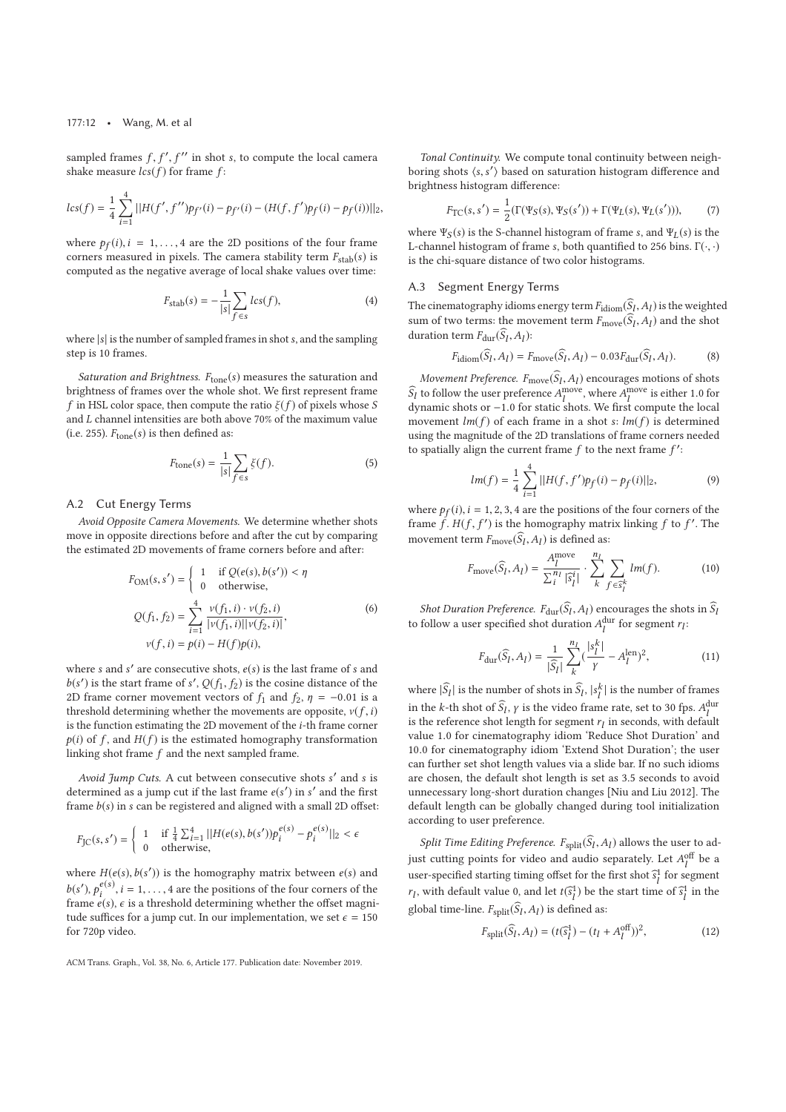# 177:12 • Wang, M. et al

sampled frames  $f, f', f''$  in shot s, to compute the local camera shake measure  $lcs(f)$  for frame  $f$ :

$$
lcs(f) = \frac{1}{4} \sum_{i=1}^{4} ||H(f', f'')p_{f'}(i) - p_{f'}(i) - (H(f, f')p_f(i) - p_f(i))||_2,
$$

where  $p_f(i)$ ,  $i = 1, ..., 4$  are the 2D positions of the four frame corners measured in pixels. The camera stability term  $F_{\text{stab}}(s)$  is computed as the negative average of local shake values over time:

$$
F_{\text{stab}}(s) = -\frac{1}{|s|} \sum_{f \in s} lcs(f),\tag{4}
$$

where  $|s|$  is the number of sampled frames in shot  $s$ , and the sampling step is 10 frames.

Saturation and Brightness.  $F_{\text{tone}}(s)$  measures the saturation and brightness of frames over the whole shot. We first represent frame f in HSL color space, then compute the ratio  $\xi(f)$  of pixels whose S and L channel intensities are both above 70% of the maximum value (i.e. 255).  $F<sub>none</sub>(s)$  is then defined as:

$$
F_{\text{tone}}(s) = \frac{1}{|s|} \sum_{f \in s} \xi(f). \tag{5}
$$

# A.2 Cut Energy Terms

Avoid Opposite Camera Movements. We determine whether shots move in opposite directions before and after the cut by comparing the estimated 2D movements of frame corners before and after:

$$
F_{OM}(s, s') = \begin{cases} 1 & \text{if } Q(e(s), b(s')) < \eta \\ 0 & \text{otherwise,} \end{cases}
$$
  

$$
Q(f_1, f_2) = \sum_{i=1}^{4} \frac{\nu(f_1, i) \cdot \nu(f_2, i)}{|\nu(f_1, i)||\nu(f_2, i)|},
$$
  

$$
\nu(f, i) = p(i) - H(f)p(i),
$$
 (6)

where s and s' are consecutive shots,  $e(s)$  is the last frame of s and  $b(s')$  is the start frame of  $s'$ ,  $Q(f_1, f_2)$  is the cosine distance of the 2D frame corner movement vectors of  $f_1$  and  $f_2$ ,  $\eta = -0.01$  is a threshold determining whether the movements are opposite,  $v(f, i)$ is the function estimating the 2D movement of the i-th frame corner  $p(i)$  of f, and  $H(f)$  is the estimated homography transformation linking shot frame  $\boldsymbol{f}$  and the next sampled frame.

Avoid Jump Cuts. A cut between consecutive shots s' and s is determined as a jump cut if the last frame  $e(s')$  in  $s'$  and the first frame  $b(s)$  in s can be registered and aligned with a small 2D offset:

$$
F_{\text{JC}}(s, s') = \begin{cases} 1 & \text{if } \frac{1}{4} \sum_{i=1}^{4} ||H(e(s), b(s'))p_i^{e(s)} - p_i^{e(s)}||_2 < \epsilon \\ 0 & \text{otherwise,} \end{cases}
$$

where  $H(e(s), b(s'))$  is the homography matrix between  $e(s)$  and  $b(s')$ ,  $p_i^{e(s)}$ ,  $i = 1, ..., 4$  are the positions of the four corners of the frame  $e(s)$ ,  $\epsilon$  is a threshold determining whether the offset magnitude suffices for a jump cut. In our implementation, we set  $\epsilon = 150$ for 720p video.

ACM Trans. Graph., Vol. 38, No. 6, Article 177. Publication date: November 2019.

Tonal Continuity. We compute tonal continuity between neighboring shots  $\langle s, s' \rangle$  based on saturation histogram difference and brightness histogram difference:

$$
F_{\Gamma\Gamma}(s,s') = \frac{1}{2}(\Gamma(\Psi_S(s), \Psi_S(s')) + \Gamma(\Psi_L(s), \Psi_L(s'))),\tag{7}
$$

where  $\Psi_S(s)$  is the S-channel histogram of frame s, and  $\Psi_L(s)$  is the L-channel histogram of frame s, both quantified to 256 bins.  $\Gamma(\cdot, \cdot)$ is the chi-square distance of two color histograms.

#### A.3 Segment Energy Terms

The cinematography idioms energy term  $F_{\text{idiom}}(\widehat{S}_l,A_l)$  is the weighted sum of two terms: the movement term  $F_{\text{move}}(\widehat{S}_l, A_l)$  and the shot duration term  $F_{\text{dur}}(\widehat{S}_l, A_l)$ :

$$
F_{\text{idiom}}(\widehat{S}_l, A_l) = F_{\text{move}}(\widehat{S}_l, A_l) - 0.03 F_{\text{dur}}(\widehat{S}_l, A_l). \tag{8}
$$

Movement Preference.  $F_{\text{move}}(\widehat{S}_l, A_l)$  encourages motions of shots  $\widehat{S}_l$  to follow the user preference  $A_l^{\text{move}}$ , where  $A_l^{\text{move}}$  is either 1.0 for dynamic shots or −1.0 for static shots. We first compute the local movement  $lm(f)$  of each frame in a shot s:  $lm(f)$  is determined using the magnitude of the 2D translations of frame corners needed to spatially align the current frame  $f$  to the next frame  $f'$ :

$$
lm(f) = \frac{1}{4} \sum_{i=1}^{4} ||H(f, f')p_f(i) - p_f(i)||_2,
$$
 (9)

where  $p_f(i)$ ,  $i = 1, 2, 3, 4$  are the positions of the four corners of the frame  $\overrightarrow{f}$ .  $H(f, f')$  is the homography matrix linking  $f$  to  $f'$ . The movement term  $F_{\text{move}}(\widehat{S}_l, A_l)$  is defined as:

$$
F_{\text{move}}(\widehat{S}_l, A_l) = \frac{A_l^{\text{move}}}{\sum_{i}^{n_l} |\widehat{s}_l^i|} \cdot \sum_{k}^{n_l} \sum_{f \in \widehat{s}_l^k} lm(f). \tag{10}
$$

*Shot Duration Preference.*  $F_{dur}(\hat{S}_I, A_I)$  encourages the shots in  $\hat{S}_I$  to follow a user specified shot duration  $A_I^{dur}$  for segment  $r_I$ :

$$
F_{\text{dur}}(\widehat{S}_l, A_l) = \frac{1}{|\widehat{S}_l|} \sum_{k}^{n_l} \left(\frac{|s_l^k|}{\gamma} - A_l^{\text{len}}\right)^2, \tag{11}
$$

where  $|\widehat{\mathcal{S}}_l|$  is the number of shots in  $\widehat{S}_l, |s_l^k|$  is the number of frames in the *k*-th shot of  $\widehat{S}_l$ ,  $\gamma$  is the video frame rate, set to 30 fps.  $A_l^{\text{dur}}$ is the reference shot length for segment  $r_l$  in seconds, with default value 1.0 for cinematography idiom 'Reduce Shot Duration' and 10.0 for cinematography idiom 'Extend Shot Duration'; the user can further set shot length values via a slide bar. If no such idioms are chosen, the default shot length is set as 3.5 seconds to avoid unnecessary long-short duration changes [Niu and Liu 2012]. The default length can be globally changed during tool initialization according to user preference.

*Split Time Editing Preference.*  $F_{split}(\widehat{S}_l, A_l)$  allows the user to adjust cutting points for video and audio separately. Let  $A_l^{\text{off}}$  be a user-specified starting timing offset for the first shot  $\widehat{s}_l^1$  for segment  $r_l$ , with default value 0, and let  $t(\widehat{s}_l^1)$  be the start time of  $\widehat{s}_l^1$  in the global time-line.  $F_{\text{split}}(\widehat{S}_l,A_l)$  is defined as:

$$
F_{\text{split}}(\widehat{S}_l, A_l) = (t(\widehat{s}_l^1) - (t_l + A_l^{\text{off}}))^2, \tag{12}
$$